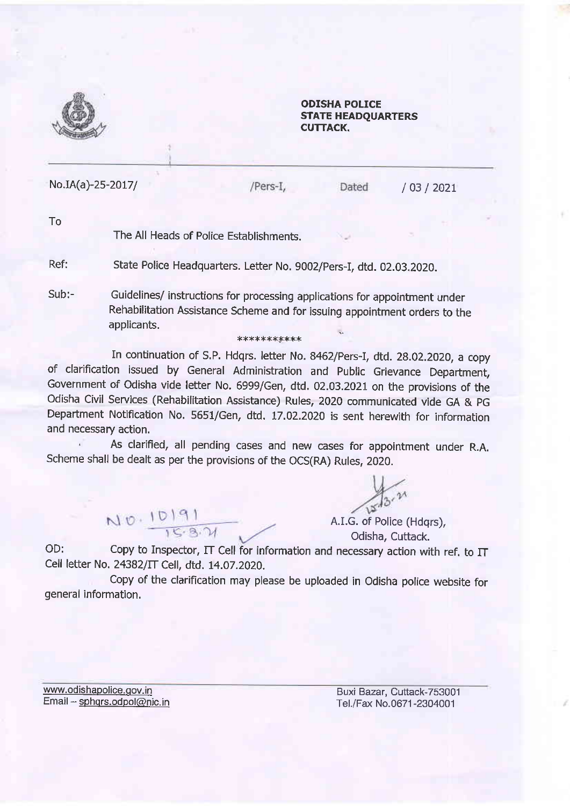

## ODISHA POLICE STATE HEADQUARTERS CUTTACK.

Dated

No.IA(a)-25-2017/

/Pers-I,

/ 03 / 202t

To

The All Heads of Police Establishments.

Ref: State Police Headquarters. Letter No. 9002/Pers-I, dtd. 02.03.2020.

Sub:- Guidelines/ instructions for processing applications for appointment under Rehabilitation Assistance Scheme and for issuing appointment orders to the applicants.

In continuation of S.P. Hdqrs. letter No. 8462/Pers-I, dtd. 28.02.2020, a copy of clarification issued by General Administration and Public Grievance Department, Government of odisha vide letter No. 6999/Gen, dtd. 02.03.2021 on the provisions of the odisha civil services (Rehabilitation Assistance) Rules, 2020 communicated vide GA & pG Department Notification No. 5551/Gen, dtd. L7.02.2020 is sent herewith for information and necessary action.

x\*\*\*\*xx\*x\*\*

, As clarified, all pending cases and new cases for appointment under R.A. Scheme shall be dealt as per the provisions of the OCS(RA) Rules, 2020.

 $N0.10191$ 

 $13.21$ 

A.LG. of Police (Hdqrs), Odisha, Cuftack.

OD: Copy to Inspector,  $\Pi$  Cell for information and necessary action with ref. to  $\Pi$ Cell letter No. 24382/IT Cell, dtd. L4.07.2020.

Copy of the clariflcation may please be uploaded in Odisha police website for general information.

www.odishapolice.qov.in Email - sphqrs.odpol@nic.in

Buxi Bazar, Cuttack-753001 Tel./Fax No.0671-2304001